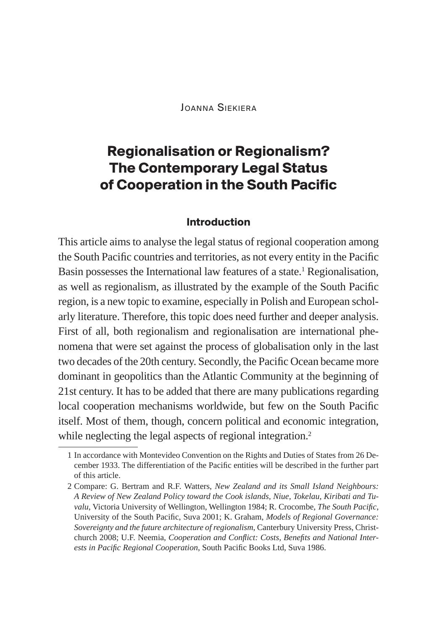Joanna Siekiera

# **Regionalisation or Regionalism? The Contemporary Legal Status of Cooperation in the South Pacific**

#### **Introduction**

This article aims to analyse the legal status of regional cooperation among the South Pacific countries and territories, as not every entity in the Pacific Basin possesses the International law features of a state.<sup>1</sup> Regionalisation, as well as regionalism, as illustrated by the example of the South Pacific region, is a new topic to examine, especially in Polish and European scholarly literature. Therefore, this topic does need further and deeper analysis. First of all, both regionalism and regionalisation are international phenomena that were set against the process of globalisation only in the last two decades of the 20th century. Secondly, the Pacific Ocean became more dominant in geopolitics than the Atlantic Community at the beginning of 21st century. It has to be added that there are many publications regarding local cooperation mechanisms worldwide, but few on the South Pacific itself. Most of them, though, concern political and economic integration, while neglecting the legal aspects of regional integration.<sup>2</sup>

<sup>1</sup> In accordance with Montevideo Convention on the Rights and Duties of States from 26 December 1933. The differentiation of the Pacific entities will be described in the further part of this article.

<sup>2</sup> Compare: G. Bertram and R.F. Watters, *New Zealand and its Small Island Neighbours: A Review of New Zealand Policy toward the Cook islands, Niue, Tokelau, Kiribati and Tuvalu*, Victoria University of Wellington, Wellington 1984; R. Crocombe, *The South Pacific*, University of the South Pacific, Suva 2001; K. Graham, *Models of Regional Governance: Sovereignty and the future architecture of regionalism*, Canterbury University Press, Christchurch 2008; U.F. Neemia, *Cooperation and Conflict: Costs, Benefits and National Interests in Pacific Regional Cooperation*, South Pacific Books Ltd, Suva 1986.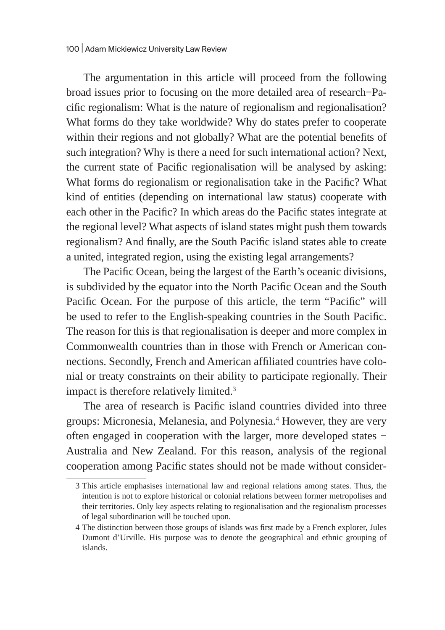The argumentation in this article will proceed from the following broad issues prior to focusing on the more detailed area of research−Pacific regionalism: What is the nature of regionalism and regionalisation? What forms do they take worldwide? Why do states prefer to cooperate within their regions and not globally? What are the potential benefits of such integration? Why is there a need for such international action? Next, the current state of Pacific regionalisation will be analysed by asking: What forms do regionalism or regionalisation take in the Pacific? What kind of entities (depending on international law status) cooperate with each other in the Pacific? In which areas do the Pacific states integrate at the regional level? What aspects of island states might push them towards regionalism? And finally, are the South Pacific island states able to create a united, integrated region, using the existing legal arrangements?

The Pacific Ocean, being the largest of the Earth's oceanic divisions, is subdivided by the equator into the North Pacific Ocean and the South Pacific Ocean. For the purpose of this article, the term "Pacific" will be used to refer to the English-speaking countries in the South Pacific. The reason for this is that regionalisation is deeper and more complex in Commonwealth countries than in those with French or American connections. Secondly, French and American affiliated countries have colonial or treaty constraints on their ability to participate regionally. Their impact is therefore relatively limited.3

The area of research is Pacific island countries divided into three groups: Micronesia, Melanesia, and Polynesia.<sup>4</sup> However, they are very often engaged in cooperation with the larger, more developed states − Australia and New Zealand. For this reason, analysis of the regional cooperation among Pacific states should not be made without consider-

<sup>3</sup> This article emphasises international law and regional relations among states. Thus, the intention is not to explore historical or colonial relations between former metropolises and their territories. Only key aspects relating to regionalisation and the regionalism processes of legal subordination will be touched upon.

<sup>4</sup> The distinction between those groups of islands was first made by a French explorer, Jules Dumont d'Urville. His purpose was to denote the geographical and ethnic grouping of islands.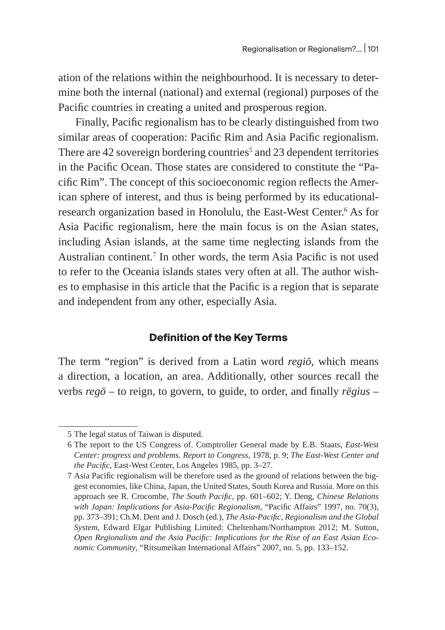ation of the relations within the neighbourhood. It is necessary to determine both the internal (national) and external (regional) purposes of the Pacific countries in creating a united and prosperous region.

Finally, Pacific regionalism has to be clearly distinguished from two similar areas of cooperation: Pacific Rim and Asia Pacific regionalism. There are 42 sovereign bordering countries<sup>5</sup> and 23 dependent territories in the Pacific Ocean. Those states are considered to constitute the "Pacific Rim". The concept of this socioeconomic region reflects the American sphere of interest, and thus is being performed by its educationalresearch organization based in Honolulu, the East-West Center.<sup>6</sup> As for Asia Pacific regionalism, here the main focus is on the Asian states, including Asian islands, at the same time neglecting islands from the Australian continent.<sup>7</sup> In other words, the term Asia Pacific is not used to refer to the Oceania islands states very often at all. The author wishes to emphasise in this article that the Pacific is a region that is separate and independent from any other, especially Asia.

# **Definition of the Key Terms**

The term "region" is derived from a Latin word *regiō,* which means a direction, a location, an area. Additionally, other sources recall the verbs *regō* – to reign, to govern, to guide, to order, and finally *rēgius –*

<sup>5</sup> The legal status of Taiwan is disputed.

<sup>6</sup> The report to the US Congress of. Comptroller General made by E.B. Staats, *East-West Center: progress and problems. Report to Congress*, 1978, p. 9; *The East-West Center and the Pacific*, East-West Center, Los Angeles 1985, pp. 3–27.

<sup>7</sup> Asia Pacific regionalism will be therefore used as the ground of relations between the biggest economies, like China, Japan, the United States, South Korea and Russia. More on this approach see R. Crocombe, *The South Pacific*, pp. 601–602; Y. Deng, *Chinese Relations with Japan: Implications for Asia-Pacific Regionalism*, "Pacific Affairs" 1997, no. 70(3), pp. 373–391; Ch.M. Dent and J. Dosch (ed.), *The Asia-Pacific, Regionalism and the Global System*, Edward Elgar Publishing Limited: Cheltenham/Northampton 2012; M. Sutton, *Open Regionalism and the Asia Pacific: Implications for the Rise of an East Asian Economic Community*, "Ritsumeikan International Affairs" 2007, no. 5, pp. 133–152.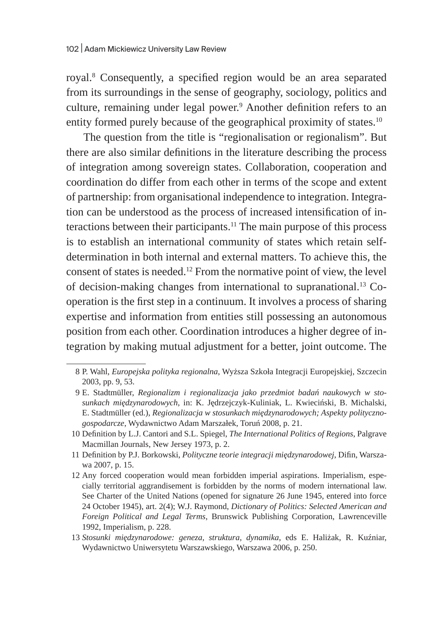royal.<sup>8</sup> Consequently, a specified region would be an area separated from its surroundings in the sense of geography, sociology, politics and culture, remaining under legal power.<sup>9</sup> Another definition refers to an entity formed purely because of the geographical proximity of states.<sup>10</sup>

The question from the title is "regionalisation or regionalism". But there are also similar definitions in the literature describing the process of integration among sovereign states. Collaboration, cooperation and coordination do differ from each other in terms of the scope and extent of partnership: from organisational independence to integration. Integration can be understood as the process of increased intensification of interactions between their participants.<sup>11</sup> The main purpose of this process is to establish an international community of states which retain selfdetermination in both internal and external matters. To achieve this, the consent of states is needed.12 From the normative point of view, the level of decision-making changes from international to supranational.13 Cooperation is the first step in a continuum. It involves a process of sharing expertise and information from entities still possessing an autonomous position from each other. Coordination introduces a higher degree of integration by making mutual adjustment for a better, joint outcome. The

<sup>8</sup> P. Wahl, *Europejska polityka regionalna*, Wyższa Szkoła Integracji Europejskiej, Szczecin 2003, pp. 9, 53.

<sup>9</sup> E. Stadtmüller, *Regionalizm i regionalizacja jako przedmiot badań naukowych w stosunkach międzynarodowych*, in: K. Jędrzejczyk-Kuliniak, L. Kwieciński, B. Michalski, E. Stadtmüller (ed.), *Regionalizacja w stosunkach międzynarodowych; Aspekty politycznogospodarcze*, Wydawnictwo Adam Marszałek, Toruń 2008, p. 21.

<sup>10</sup> Definition by L.J. Cantori and S.L. Spiegel, *The International Politics of Regions*, Palgrave Macmillan Journals, New Jersey 1973, p. 2.

<sup>11</sup> Definition by P.J. Borkowski, *Polityczne teorie integracji międzynarodowej*, Difin, Warszawa 2007, p. 15.

<sup>12</sup> Any forced cooperation would mean forbidden imperial aspirations. Imperialism, especially territorial aggrandisement is forbidden by the norms of modern international law. See Charter of the United Nations (opened for signature 26 June 1945, entered into force 24 October 1945), art. 2(4); W.J. Raymond, *Dictionary of Politics: Selected American and Foreign Political and Legal Terms*, Brunswick Publishing Corporation, Lawrenceville 1992, Imperialism, p. 228.

<sup>13</sup> *Stosunki międzynarodowe: geneza, struktura, dynamika*, eds E. Haliżak, R. Kuźniar, Wydawnictwo Uniwersytetu Warszawskiego, Warszawa 2006, p. 250.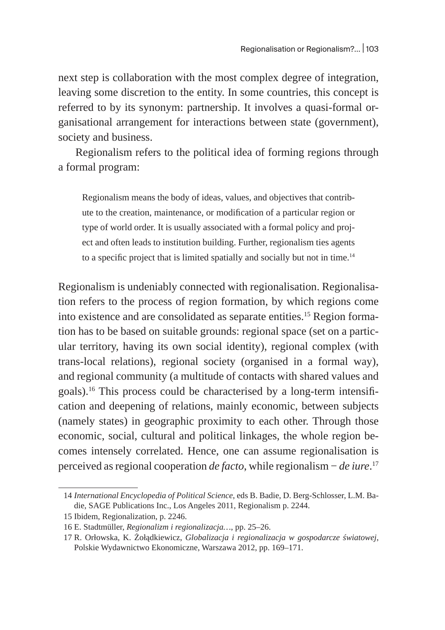next step is collaboration with the most complex degree of integration, leaving some discretion to the entity. In some countries, this concept is referred to by its synonym: partnership. It involves a quasi-formal organisational arrangement for interactions between state (government), society and business.

Regionalism refers to the political idea of forming regions through a formal program:

Regionalism means the body of ideas, values, and objectives that contribute to the creation, maintenance, or modification of a particular region or type of world order. It is usually associated with a formal policy and project and often leads to institution building. Further, regionalism ties agents to a specific project that is limited spatially and socially but not in time.<sup>14</sup>

Regionalism is undeniably connected with regionalisation. Regionalisation refers to the process of region formation, by which regions come into existence and are consolidated as separate entities.<sup>15</sup> Region formation has to be based on suitable grounds: regional space (set on a particular territory, having its own social identity), regional complex (with trans-local relations), regional society (organised in a formal way), and regional community (a multitude of contacts with shared values and goals).16 This process could be characterised by a long-term intensification and deepening of relations, mainly economic, between subjects (namely states) in geographic proximity to each other. Through those economic, social, cultural and political linkages, the whole region becomes intensely correlated. Hence, one can assume regionalisation is perceived as regional cooperation *de facto*, while regionalism − *de iure*. 17

<sup>14</sup> *International Encyclopedia of Political Science*, eds B. Badie, D. Berg-Schlosser, L.M. Badie, SAGE Publications Inc., Los Angeles 2011, Regionalism p. 2244.

<sup>15</sup> Ibidem, Regionalization, p. 2246.

<sup>16</sup> E. Stadtmüller, *Regionalizm i regionalizacja…*, pp. 25–26.

<sup>17</sup> R. Orłowska, K. Żołądkiewicz, *Globalizacja i regionalizacja w gospodarcze światowej*, Polskie Wydawnictwo Ekonomiczne, Warszawa 2012, pp. 169–171.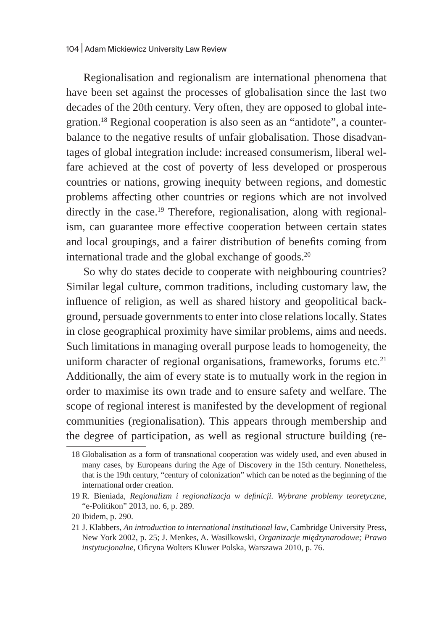Regionalisation and regionalism are international phenomena that have been set against the processes of globalisation since the last two decades of the 20th century. Very often, they are opposed to global integration.18 Regional cooperation is also seen as an "antidote", a counterbalance to the negative results of unfair globalisation. Those disadvantages of global integration include: increased consumerism, liberal welfare achieved at the cost of poverty of less developed or prosperous countries or nations, growing inequity between regions, and domestic problems affecting other countries or regions which are not involved directly in the case.<sup>19</sup> Therefore, regionalisation, along with regionalism, can guarantee more effective cooperation between certain states and local groupings, and a fairer distribution of benefits coming from international trade and the global exchange of goods.<sup>20</sup>

So why do states decide to cooperate with neighbouring countries? Similar legal culture, common traditions, including customary law, the influence of religion, as well as shared history and geopolitical background, persuade governments to enter into close relations locally. States in close geographical proximity have similar problems, aims and needs. Such limitations in managing overall purpose leads to homogeneity, the uniform character of regional organisations, frameworks, forums etc*.* 21 Additionally, the aim of every state is to mutually work in the region in order to maximise its own trade and to ensure safety and welfare. The scope of regional interest is manifested by the development of regional communities (regionalisation). This appears through membership and the degree of participation, as well as regional structure building (re-

<sup>18</sup> Globalisation as a form of transnational cooperation was widely used, and even abused in many cases, by Europeans during the Age of Discovery in the 15th century. Nonetheless, that is the 19th century, "century of colonization" which can be noted as the beginning of the international order creation.

<sup>19</sup> R. Bieniada, *Regionalizm i regionalizacja w definicji. Wybrane problemy teoretyczne*, "e-Politikon" 2013, no. 6, p. 289.

<sup>20</sup> Ibidem, p. 290.

<sup>21</sup> J. Klabbers, *An introduction to international institutional law*, Cambridge University Press, New York 2002, p. 25; J. Menkes, A. Wasilkowski, *Organizacje międzynarodowe; Prawo instytucjonalne*, Oficyna Wolters Kluwer Polska, Warszawa 2010, p. 76.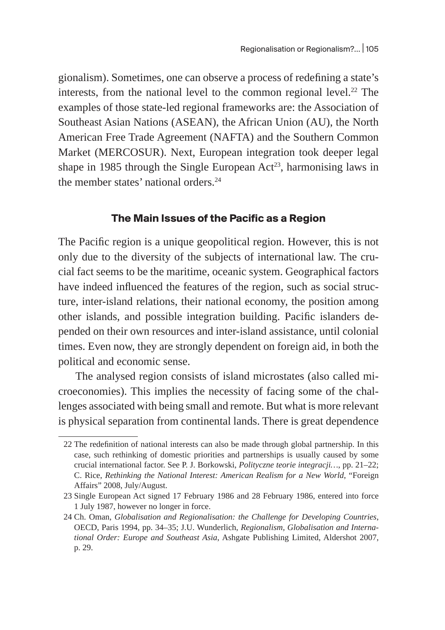gionalism). Sometimes, one can observe a process of redefining a state's interests, from the national level to the common regional level.<sup>22</sup> The examples of those state-led regional frameworks are: the Association of Southeast Asian Nations (ASEAN), the African Union (AU), the North American Free Trade Agreement (NAFTA) and the Southern Common Market (MERCOSUR). Next, European integration took deeper legal shape in 1985 through the Single European  $Act^{23}$ , harmonising laws in the member states' national orders.<sup>24</sup>

## **The Main Issues of the Pacific as a Region**

The Pacific region is a unique geopolitical region. However, this is not only due to the diversity of the subjects of international law. The crucial fact seems to be the maritime, oceanic system. Geographical factors have indeed influenced the features of the region, such as social structure, inter-island relations, their national economy, the position among other islands, and possible integration building. Pacific islanders depended on their own resources and inter-island assistance, until colonial times. Even now, they are strongly dependent on foreign aid, in both the political and economic sense.

The analysed region consists of island microstates (also called microeconomies). This implies the necessity of facing some of the challenges associated with being small and remote. But what is more relevant is physical separation from continental lands. There is great dependence

<sup>22</sup> The redefinition of national interests can also be made through global partnership. In this case, such rethinking of domestic priorities and partnerships is usually caused by some crucial international factor. See P. J. Borkowski, *Polityczne teorie integracji…*, pp. 21–22; C. Rice, *Rethinking the National Interest: American Realism for a New World*, "Foreign Affairs" 2008, July/August.

<sup>23</sup> Single European Act signed 17 February 1986 and 28 February 1986, entered into force 1 July 1987, however no longer in force.

<sup>24</sup> Ch. Oman, *Globalisation and Regionalisation: the Challenge for Developing Countries*, OECD, Paris 1994, pp. 34–35; J.U. Wunderlich, *Regionalism, Globalisation and International Order: Europe and Southeast Asia*, Ashgate Publishing Limited, Aldershot 2007, p. 29.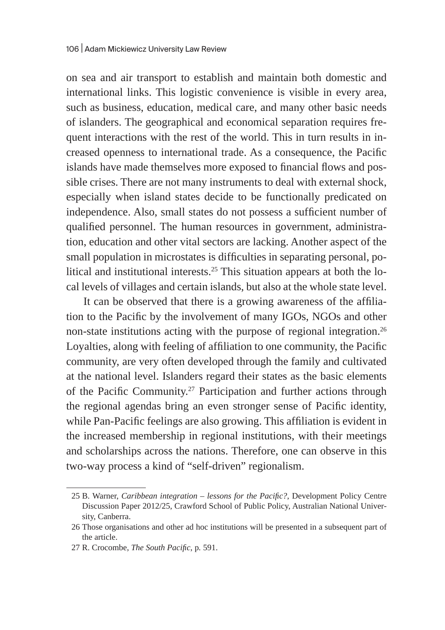on sea and air transport to establish and maintain both domestic and international links. This logistic convenience is visible in every area, such as business, education, medical care, and many other basic needs of islanders. The geographical and economical separation requires frequent interactions with the rest of the world. This in turn results in increased openness to international trade. As a consequence, the Pacific islands have made themselves more exposed to financial flows and possible crises. There are not many instruments to deal with external shock, especially when island states decide to be functionally predicated on independence. Also, small states do not possess a sufficient number of qualified personnel. The human resources in government, administration, education and other vital sectors are lacking. Another aspect of the small population in microstates is difficulties in separating personal, political and institutional interests.25 This situation appears at both the local levels of villages and certain islands, but also at the whole state level.

It can be observed that there is a growing awareness of the affiliation to the Pacific by the involvement of many IGOs, NGOs and other non-state institutions acting with the purpose of regional integration.<sup>26</sup> Loyalties, along with feeling of affiliation to one community, the Pacific community, are very often developed through the family and cultivated at the national level. Islanders regard their states as the basic elements of the Pacific Community.<sup>27</sup> Participation and further actions through the regional agendas bring an even stronger sense of Pacific identity, while Pan-Pacific feelings are also growing. This affiliation is evident in the increased membership in regional institutions, with their meetings and scholarships across the nations. Therefore, one can observe in this two-way process a kind of "self-driven" regionalism.

<sup>25</sup> B. Warner, *Caribbean integration – lessons for the Pacific?*, Development Policy Centre Discussion Paper 2012/25, Crawford School of Public Policy, Australian National University, Canberra.

<sup>26</sup> Those organisations and other ad hoc institutions will be presented in a subsequent part of the article.

<sup>27</sup> R. Crocombe, *The South Pacific*, p*.* 591.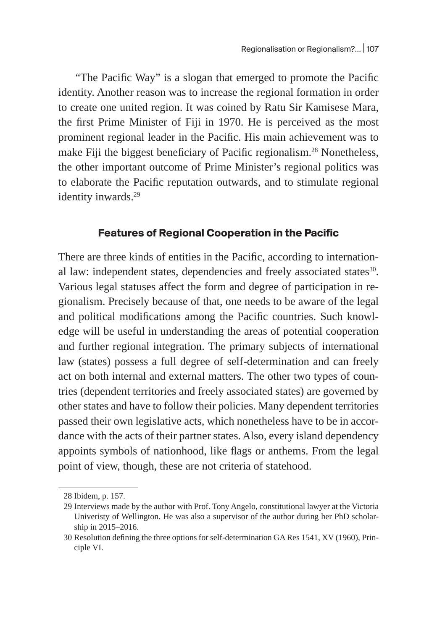"The Pacific Way" is a slogan that emerged to promote the Pacific identity. Another reason was to increase the regional formation in order to create one united region. It was coined by Ratu Sir Kamisese Mara, the first Prime Minister of Fiji in 1970. He is perceived as the most prominent regional leader in the Pacific. His main achievement was to make Fiji the biggest beneficiary of Pacific regionalism.<sup>28</sup> Nonetheless, the other important outcome of Prime Minister's regional politics was to elaborate the Pacific reputation outwards, and to stimulate regional identity inwards.<sup>29</sup>

## **Features of Regional Cooperation in the Pacific**

There are three kinds of entities in the Pacific, according to international law: independent states, dependencies and freely associated states<sup>30</sup>. Various legal statuses affect the form and degree of participation in regionalism. Precisely because of that, one needs to be aware of the legal and political modifications among the Pacific countries. Such knowledge will be useful in understanding the areas of potential cooperation and further regional integration. The primary subjects of international law (states) possess a full degree of self-determination and can freely act on both internal and external matters. The other two types of countries (dependent territories and freely associated states) are governed by other states and have to follow their policies. Many dependent territories passed their own legislative acts, which nonetheless have to be in accordance with the acts of their partner states. Also, every island dependency appoints symbols of nationhood, like flags or anthems. From the legal point of view, though, these are not criteria of statehood.

<sup>28</sup> Ibidem, p. 157.

<sup>29</sup> Interviews made by the author with Prof. Tony Angelo, constitutional lawyer at the Victoria Univeristy of Wellington. He was also a supervisor of the author during her PhD scholarship in 2015–2016.

<sup>30</sup> Resolution defining the three options for self-determination GA Res 1541, XV (1960), Principle VI.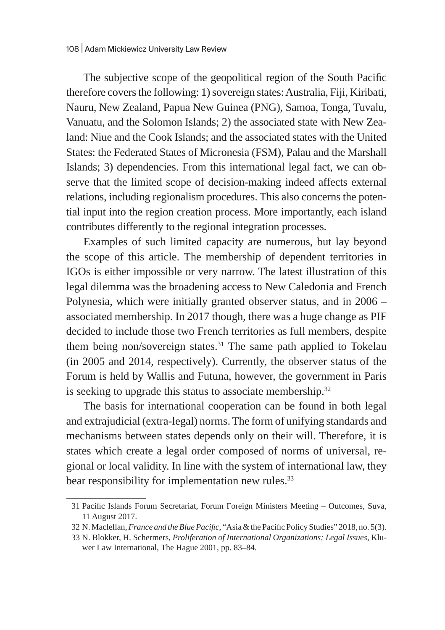The subjective scope of the geopolitical region of the South Pacific therefore covers the following: 1) sovereign states: Australia, Fiji, Kiribati, Nauru, New Zealand, Papua New Guinea (PNG), Samoa, Tonga, Tuvalu, Vanuatu, and the Solomon Islands; 2) the associated state with New Zealand: Niue and the Cook Islands; and the associated states with the United States: the Federated States of Micronesia (FSM), Palau and the Marshall Islands; 3) dependencies. From this international legal fact, we can observe that the limited scope of decision-making indeed affects external relations, including regionalism procedures. This also concerns the potential input into the region creation process. More importantly, each island contributes differently to the regional integration processes.

Examples of such limited capacity are numerous, but lay beyond the scope of this article. The membership of dependent territories in IGOs is either impossible or very narrow. The latest illustration of this legal dilemma was the broadening access to New Caledonia and French Polynesia, which were initially granted observer status, and in 2006 – associated membership. In 2017 though, there was a huge change as PIF decided to include those two French territories as full members, despite them being non/sovereign states. $31$  The same path applied to Tokelau (in 2005 and 2014, respectively). Currently, the observer status of the Forum is held by Wallis and Futuna, however, the government in Paris is seeking to upgrade this status to associate membership.<sup>32</sup>

The basis for international cooperation can be found in both legal and extrajudicial (extra-legal) norms. The form of unifying standards and mechanisms between states depends only on their will. Therefore, it is states which create a legal order composed of norms of universal, regional or local validity. In line with the system of international law, they bear responsibility for implementation new rules.<sup>33</sup>

<sup>31</sup> Pacific Islands Forum Secretariat, Forum Foreign Ministers Meeting – Outcomes, Suva, 11 August 2017.

<sup>32</sup> N.Maclellan, *France and the Blue Pacific*, "Asia & the Pacific Policy Studies" 2018, no. 5(3).

<sup>33</sup> N. Blokker, H. Schermers, *Proliferation of International Organizations; Legal Issues*, Kluwer Law International, The Hague 2001, pp. 83–84.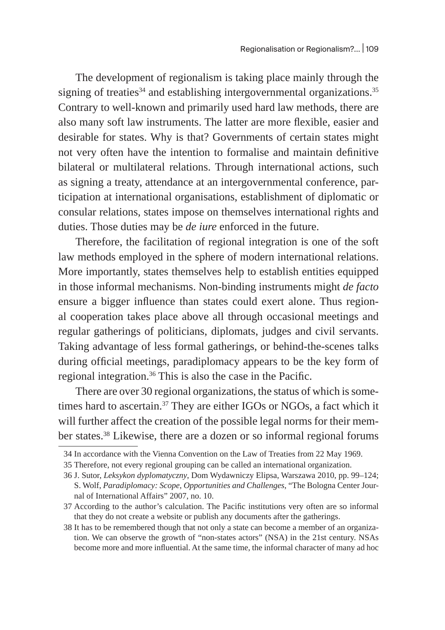The development of regionalism is taking place mainly through the signing of treaties<sup>34</sup> and establishing intergovernmental organizations.<sup>35</sup> Contrary to well-known and primarily used hard law methods, there are also many soft law instruments. The latter are more flexible, easier and desirable for states. Why is that? Governments of certain states might not very often have the intention to formalise and maintain definitive bilateral or multilateral relations. Through international actions, such as signing a treaty, attendance at an intergovernmental conference, participation at international organisations, establishment of diplomatic or consular relations, states impose on themselves international rights and duties. Those duties may be *de iure* enforced in the future.

Therefore, the facilitation of regional integration is one of the soft law methods employed in the sphere of modern international relations. More importantly, states themselves help to establish entities equipped in those informal mechanisms. Non-binding instruments might *de facto* ensure a bigger influence than states could exert alone. Thus regional cooperation takes place above all through occasional meetings and regular gatherings of politicians, diplomats, judges and civil servants. Taking advantage of less formal gatherings, or behind-the-scenes talks during official meetings, paradiplomacy appears to be the key form of regional integration.36 This is also the case in the Pacific.

There are over 30 regional organizations, the status of which is sometimes hard to ascertain.<sup>37</sup> They are either IGOs or NGOs, a fact which it will further affect the creation of the possible legal norms for their member states.38 Likewise, there are a dozen or so informal regional forums

<sup>34</sup> In accordance with the Vienna Convention on the Law of Treaties from 22 May 1969.

<sup>35</sup> Therefore, not every regional grouping can be called an international organization.

<sup>36</sup> J. Sutor, *Leksykon dyplomatyczny*, Dom Wydawniczy Elipsa, Warszawa 2010, pp. 99–124; S. Wolf, *Paradiplomacy: Scope, Opportunities and Challenges*, "The Bologna Center Journal of International Affairs" 2007, no. 10.

<sup>37</sup> According to the author's calculation. The Pacific institutions very often are so informal that they do not create a website or publish any documents after the gatherings.

<sup>38</sup> It has to be remembered though that not only a state can become a member of an organization. We can observe the growth of "non-states actors" (NSA) in the 21st century. NSAs become more and more influential. At the same time, the informal character of many ad hoc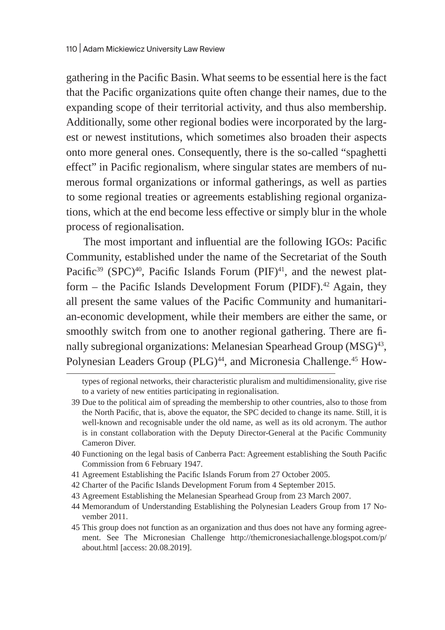gathering in the Pacific Basin. What seems to be essential here is the fact that the Pacific organizations quite often change their names, due to the expanding scope of their territorial activity, and thus also membership. Additionally, some other regional bodies were incorporated by the largest or newest institutions, which sometimes also broaden their aspects onto more general ones. Consequently, there is the so-called "spaghetti effect" in Pacific regionalism, where singular states are members of numerous formal organizations or informal gatherings, as well as parties to some regional treaties or agreements establishing regional organizations, which at the end become less effective or simply blur in the whole process of regionalisation.

The most important and influential are the following IGOs: Pacific Community, established under the name of the Secretariat of the South Pacific<sup>39</sup> (SPC)<sup>40</sup>, Pacific Islands Forum (PIF)<sup>41</sup>, and the newest platform – the Pacific Islands Development Forum (PIDF).<sup>42</sup> Again, they all present the same values of the Pacific Community and humanitarian-economic development, while their members are either the same, or smoothly switch from one to another regional gathering. There are finally subregional organizations: Melanesian Spearhead Group (MSG)<sup>43</sup>, Polynesian Leaders Group (PLG)<sup>44</sup>, and Micronesia Challenge.<sup>45</sup> How-

- 40 Functioning on the legal basis of Canberra Pact: Agreement establishing the South Pacific Commission from 6 February 1947.
- 41 Agreement Establishing the Pacific Islands Forum from 27 October 2005.
- 42 Charter of the Pacific Islands Development Forum from 4 September 2015.
- 43 Agreement Establishing the Melanesian Spearhead Group from 23 March 2007.
- 44 Memorandum of Understanding Establishing the Polynesian Leaders Group from 17 November 2011.
- 45 This group does not function as an organization and thus does not have any forming agreement. See The Micronesian Challenge http://themicronesiachallenge.blogspot.com/p/ about.html [access: 20.08.2019].

types of regional networks, their characteristic pluralism and multidimensionality, give rise to a variety of new entities participating in regionalisation.

<sup>39</sup> Due to the political aim of spreading the membership to other countries, also to those from the North Pacific, that is, above the equator, the SPC decided to change its name. Still, it is well-known and recognisable under the old name, as well as its old acronym. The author is in constant collaboration with the Deputy Director-General at the Pacific Community Cameron Diver.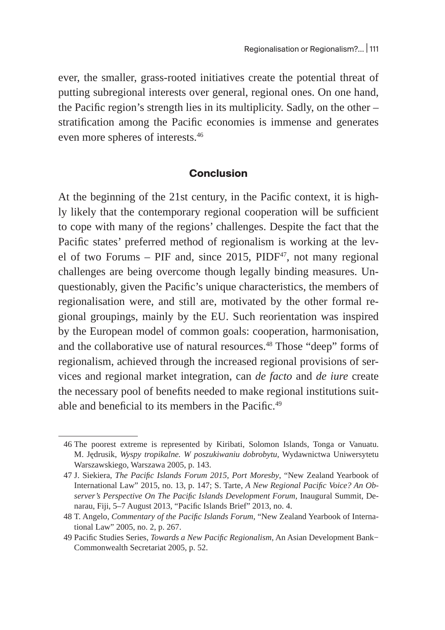ever, the smaller, grass-rooted initiatives create the potential threat of putting subregional interests over general, regional ones. On one hand, the Pacific region's strength lies in its multiplicity. Sadly, on the other – stratification among the Pacific economies is immense and generates even more spheres of interests.<sup>46</sup>

## **Conclusion**

At the beginning of the 21st century, in the Pacific context, it is highly likely that the contemporary regional cooperation will be sufficient to cope with many of the regions' challenges. Despite the fact that the Pacific states' preferred method of regionalism is working at the level of two Forums – PIF and, since 2015,  $PIDF<sup>47</sup>$ , not many regional challenges are being overcome though legally binding measures. Unquestionably, given the Pacific's unique characteristics, the members of regionalisation were, and still are, motivated by the other formal regional groupings, mainly by the EU. Such reorientation was inspired by the European model of common goals: cooperation, harmonisation, and the collaborative use of natural resources.<sup>48</sup> Those "deep" forms of regionalism, achieved through the increased regional provisions of services and regional market integration, can *de facto* and *de iure* create the necessary pool of benefits needed to make regional institutions suitable and beneficial to its members in the Pacific. $49$ 

<sup>46</sup> The poorest extreme is represented by Kiribati, Solomon Islands, Tonga or Vanuatu. M. Jędrusik, *Wyspy tropikalne. W poszukiwaniu dobrobytu,* Wydawnictwa Uniwersytetu Warszawskiego, Warszawa 2005, p. 143.

<sup>47</sup> J. Siekiera, *The Pacific Islands Forum 2015, Port Moresby*, "New Zealand Yearbook of International Law" 2015, no. 13, p. 147; S. Tarte, *A New Regional Pacific Voice? An Observer's Perspective On The Pacific Islands Development Forum*, Inaugural Summit, Denarau, Fiji, 5–7 August 2013, "Pacific Islands Brief" 2013, no. 4.

<sup>48</sup> T. Angelo, *Commentary of the Pacific Islands Forum*, "New Zealand Yearbook of International Law" 2005, no. 2, p. 267.

<sup>49</sup> Pacific Studies Series, *Towards a New Pacific Regionalism*, An Asian Development Bank− Commonwealth Secretariat 2005, p. 52.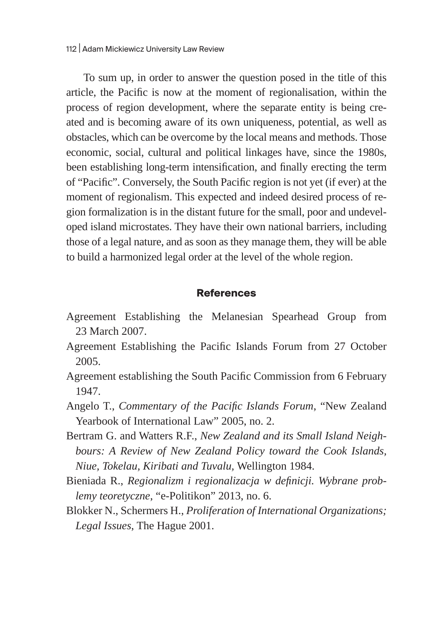To sum up, in order to answer the question posed in the title of this article, the Pacific is now at the moment of regionalisation, within the process of region development, where the separate entity is being created and is becoming aware of its own uniqueness, potential, as well as obstacles, which can be overcome by the local means and methods. Those economic, social, cultural and political linkages have, since the 1980s, been establishing long-term intensification, and finally erecting the term of "Pacific". Conversely, the South Pacific region is not yet (if ever) at the moment of regionalism. This expected and indeed desired process of region formalization is in the distant future for the small, poor and undeveloped island microstates. They have their own national barriers, including those of a legal nature, and as soon as they manage them, they will be able to build a harmonized legal order at the level of the whole region.

#### **References**

- Agreement Establishing the Melanesian Spearhead Group from 23 March 2007.
- Agreement Establishing the Pacific Islands Forum from 27 October 2005.
- Agreement establishing the South Pacific Commission from 6 February 1947.
- Angelo T., *Commentary of the Pacific Islands Forum*, "New Zealand Yearbook of International Law" 2005, no. 2.
- Bertram G. and Watters R.F., *New Zealand and its Small Island Neighbours: A Review of New Zealand Policy toward the Cook Islands, Niue, Tokelau, Kiribati and Tuvalu,* Wellington 1984.
- Bieniada R., *Regionalizm i regionalizacja w definicji. Wybrane problemy teoretyczne*, "e-Politikon" 2013, no. 6.
- Blokker N., Schermers H., *Proliferation of International Organizations; Legal Issues*, The Hague 2001.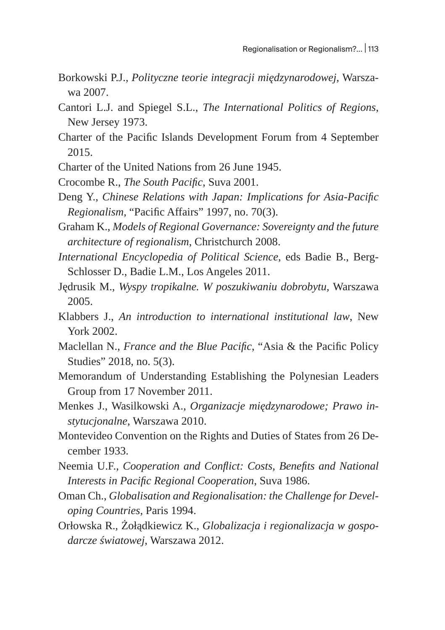- Borkowski P.J., *Polityczne teorie integracji międzynarodowej*, Warszawa 2007.
- Cantori L.J. and Spiegel S.L., *The International Politics of Regions*, New Jersey 1973.
- Charter of the Pacific Islands Development Forum from 4 September 2015.
- Charter of the United Nations from 26 June 1945.
- Crocombe R., *The South Pacific*, Suva 2001.
- Deng Y., *Chinese Relations with Japan: Implications for Asia-Pacific Regionalism*, "Pacific Affairs" 1997, no. 70(3).
- Graham K., *Models of Regional Governance: Sovereignty and the future architecture of regionalism*, Christchurch 2008.
- *International Encyclopedia of Political Science*, eds Badie B., Berg-Schlosser D., Badie L.M., Los Angeles 2011.
- Jędrusik M., *Wyspy tropikalne. W poszukiwaniu dobrobytu,* Warszawa 2005.
- Klabbers J., *An introduction to international institutional law*, New York 2002.
- Maclellan N., *France and the Blue Pacific*, "Asia & the Pacific Policy Studies" 2018, no. 5(3).
- Memorandum of Understanding Establishing the Polynesian Leaders Group from 17 November 2011.
- Menkes J., Wasilkowski A., *Organizacje międzynarodowe; Prawo instytucjonalne*, Warszawa 2010.
- Montevideo Convention on the Rights and Duties of States from 26 December 1933.
- Neemia U.F., *Cooperation and Conflict: Costs, Benefits and National Interests in Pacific Regional Cooperation*, Suva 1986.
- Oman Ch., *Globalisation and Regionalisation: the Challenge for Developing Countries*, Paris 1994.
- Orłowska R., Żołądkiewicz K., *Globalizacja i regionalizacja w gospodarcze światowej*, Warszawa 2012.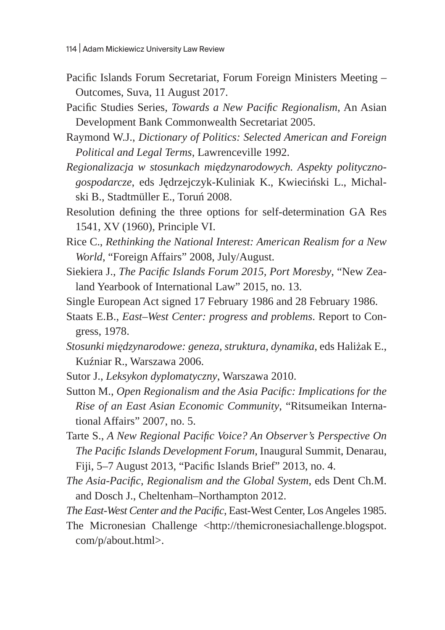- Pacific Islands Forum Secretariat, Forum Foreign Ministers Meeting Outcomes, Suva, 11 August 2017.
- Pacific Studies Series, *Towards a New Pacific Regionalism*, An Asian Development Bank Commonwealth Secretariat 2005.
- Raymond W.J., *Dictionary of Politics: Selected American and Foreign Political and Legal Terms*, Lawrenceville 1992.
- *Regionalizacja w stosunkach międzynarodowych. Aspekty politycznogospodarcze*, eds Jędrzejczyk-Kuliniak K., Kwieciński L., Michalski B., Stadtmüller E., Toruń 2008.
- Resolution defining the three options for self-determination GA Res 1541, XV (1960), Principle VI.
- Rice C., *Rethinking the National Interest: American Realism for a New World*, "Foreign Affairs" 2008, July/August.
- Siekiera J., *The Pacific Islands Forum 2015, Port Moresby*, "New Zealand Yearbook of International Law" 2015, no. 13.
- Single European Act signed 17 February 1986 and 28 February 1986.
- Staats E.B., *East–West Center: progress and problems*. Report to Congress, 1978.
- *Stosunki międzynarodowe: geneza, struktura, dynamika*, eds Haliżak E., Kuźniar R., Warszawa 2006.
- Sutor J., *Leksykon dyplomatyczny*, Warszawa 2010.
- Sutton M., *Open Regionalism and the Asia Pacific: Implications for the Rise of an East Asian Economic Community*, "Ritsumeikan International Affairs" 2007, no. 5.
- Tarte S., *A New Regional Pacific Voice? An Observer's Perspective On The Pacific Islands Development Forum*, Inaugural Summit, Denarau, Fiji, 5–7 August 2013, "Pacific Islands Brief" 2013, no. 4.
- *The Asia-Pacific, Regionalism and the Global System*, eds Dent Ch.M. and Dosch J., Cheltenham–Northampton 2012.
- *The East-West Center and the Pacific*, East-West Center, Los Angeles 1985.
- The Micronesian Challenge <http://themicronesiachallenge.blogspot. com/p/about.html>.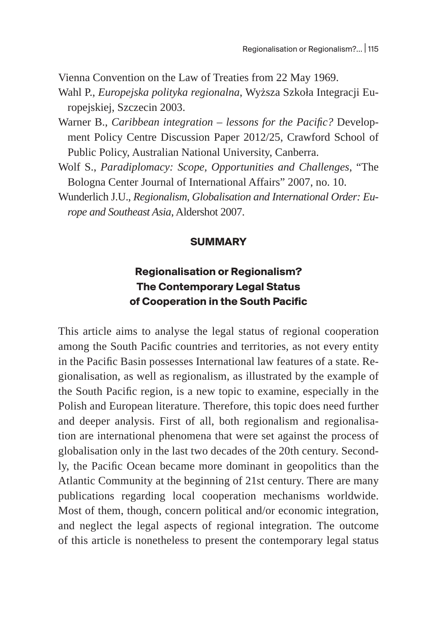Vienna Convention on the Law of Treaties from 22 May 1969.

Wahl P., *Europejska polityka regionalna*, Wyższa Szkoła Integracji Europejskiej, Szczecin 2003.

- Warner B., *Caribbean integration lessons for the Pacific?* Development Policy Centre Discussion Paper 2012/25, Crawford School of Public Policy, Australian National University, Canberra.
- Wolf S., *Paradiplomacy: Scope, Opportunities and Challenges*, "The Bologna Center Journal of International Affairs" 2007, no. 10.
- Wunderlich J.U., *Regionalism, Globalisation and International Order: Europe and Southeast Asia*, Aldershot 2007.

#### **SUMMARY**

# **Regionalisation or Regionalism? The Contemporary Legal Status of Cooperation in the South Pacific**

This article aims to analyse the legal status of regional cooperation among the South Pacific countries and territories, as not every entity in the Pacific Basin possesses International law features of a state. Regionalisation, as well as regionalism, as illustrated by the example of the South Pacific region, is a new topic to examine, especially in the Polish and European literature. Therefore, this topic does need further and deeper analysis. First of all, both regionalism and regionalisation are international phenomena that were set against the process of globalisation only in the last two decades of the 20th century. Secondly, the Pacific Ocean became more dominant in geopolitics than the Atlantic Community at the beginning of 21st century. There are many publications regarding local cooperation mechanisms worldwide. Most of them, though, concern political and/or economic integration, and neglect the legal aspects of regional integration. The outcome of this article is nonetheless to present the contemporary legal status